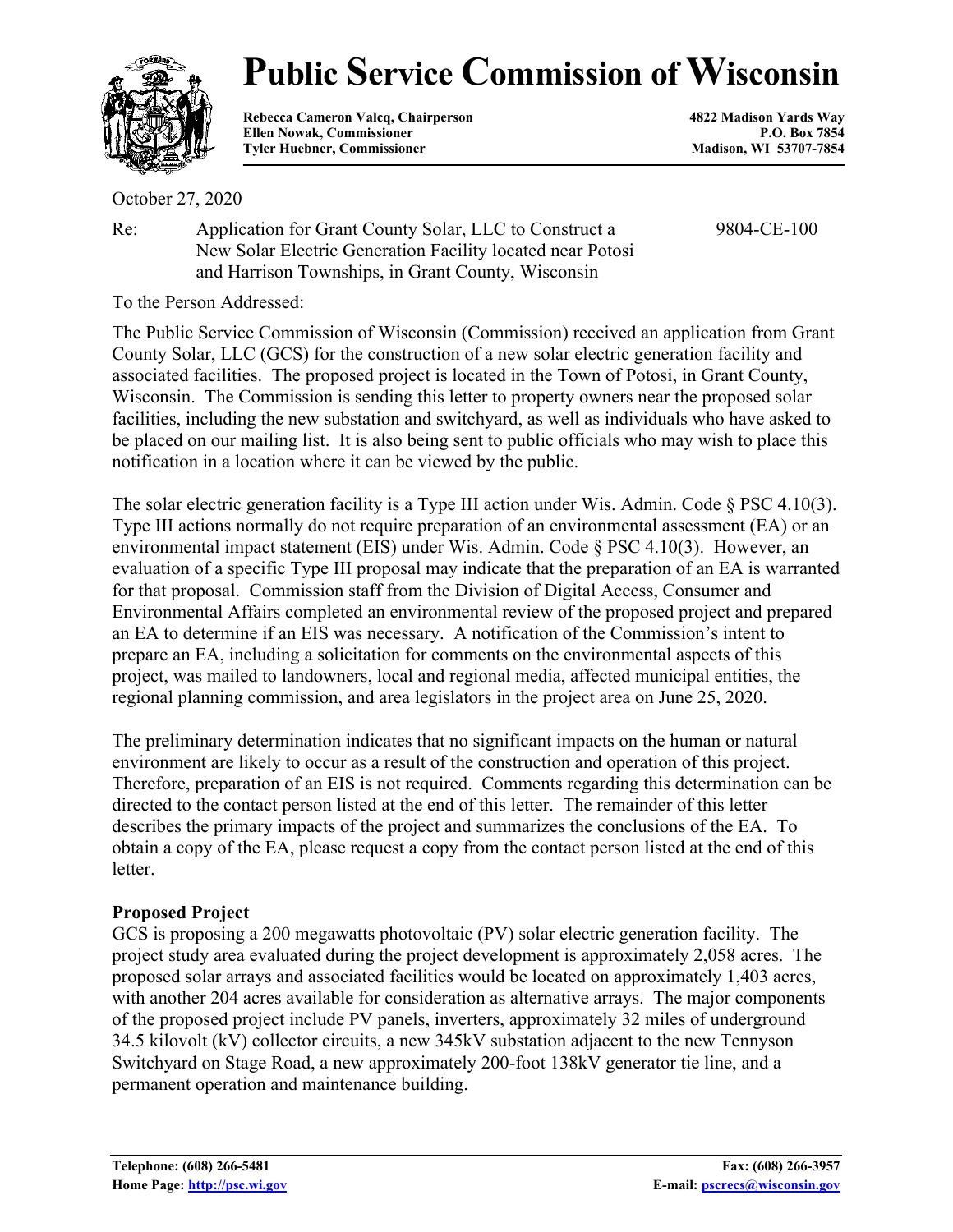

# **Public Service Commission of Wisconsin**

**Rebecca Cameron Valcq, Chairperson 4822 Madison Yards Way** Ellen Nowak, Commissioner **P.O. Box 7854**<br> **P.O. Box 7854**<br> **P.O. Box 7854**<br> **Madison, WI 53707-7854 Tyler Huebner, Commissioner** 

October 27, 2020

Re: Application for Grant County Solar, LLC to Construct a New Solar Electric Generation Facility located near Potosi and Harrison Townships, in Grant County, Wisconsin

9804-CE-100

To the Person Addressed:

The Public Service Commission of Wisconsin (Commission) received an application from Grant County Solar, LLC (GCS) for the construction of a new solar electric generation facility and associated facilities. The proposed project is located in the Town of Potosi, in Grant County, Wisconsin. The Commission is sending this letter to property owners near the proposed solar facilities, including the new substation and switchyard, as well as individuals who have asked to be placed on our mailing list. It is also being sent to public officials who may wish to place this notification in a location where it can be viewed by the public.

The solar electric generation facility is a Type III action under Wis. Admin. Code § PSC 4.10(3). Type III actions normally do not require preparation of an environmental assessment (EA) or an environmental impact statement (EIS) under Wis. Admin. Code § PSC 4.10(3). However, an evaluation of a specific Type III proposal may indicate that the preparation of an EA is warranted for that proposal. Commission staff from the Division of Digital Access, Consumer and Environmental Affairs completed an environmental review of the proposed project and prepared an EA to determine if an EIS was necessary. A notification of the Commission's intent to prepare an EA, including a solicitation for comments on the environmental aspects of this project, was mailed to landowners, local and regional media, affected municipal entities, the regional planning commission, and area legislators in the project area on June 25, 2020.

The preliminary determination indicates that no significant impacts on the human or natural environment are likely to occur as a result of the construction and operation of this project. Therefore, preparation of an EIS is not required. Comments regarding this determination can be directed to the contact person listed at the end of this letter. The remainder of this letter describes the primary impacts of the project and summarizes the conclusions of the EA. To obtain a copy of the EA, please request a copy from the contact person listed at the end of this letter.

## **Proposed Project**

GCS is proposing a 200 megawatts photovoltaic (PV) solar electric generation facility. The project study area evaluated during the project development is approximately 2,058 acres. The proposed solar arrays and associated facilities would be located on approximately 1,403 acres, with another 204 acres available for consideration as alternative arrays. The major components of the proposed project include PV panels, inverters, approximately 32 miles of underground 34.5 kilovolt (kV) collector circuits, a new 345kV substation adjacent to the new Tennyson Switchyard on Stage Road, a new approximately 200-foot 138kV generator tie line, and a permanent operation and maintenance building.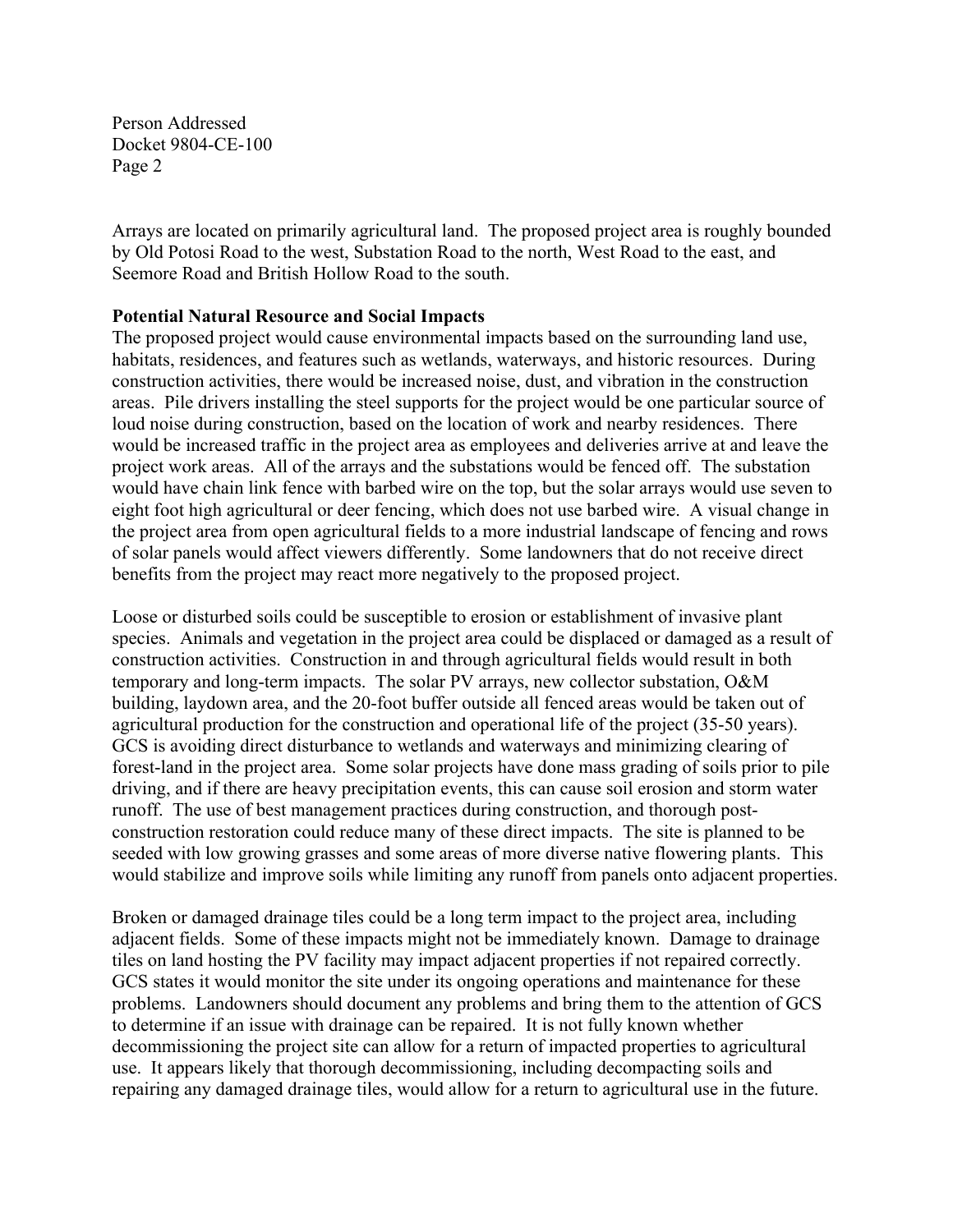Person Addressed Docket 9804-CE-100 Page 2

Arrays are located on primarily agricultural land. The proposed project area is roughly bounded by Old Potosi Road to the west, Substation Road to the north, West Road to the east, and Seemore Road and British Hollow Road to the south.

### **Potential Natural Resource and Social Impacts**

The proposed project would cause environmental impacts based on the surrounding land use, habitats, residences, and features such as wetlands, waterways, and historic resources. During construction activities, there would be increased noise, dust, and vibration in the construction areas. Pile drivers installing the steel supports for the project would be one particular source of loud noise during construction, based on the location of work and nearby residences. There would be increased traffic in the project area as employees and deliveries arrive at and leave the project work areas. All of the arrays and the substations would be fenced off. The substation would have chain link fence with barbed wire on the top, but the solar arrays would use seven to eight foot high agricultural or deer fencing, which does not use barbed wire. A visual change in the project area from open agricultural fields to a more industrial landscape of fencing and rows of solar panels would affect viewers differently. Some landowners that do not receive direct benefits from the project may react more negatively to the proposed project.

Loose or disturbed soils could be susceptible to erosion or establishment of invasive plant species. Animals and vegetation in the project area could be displaced or damaged as a result of construction activities. Construction in and through agricultural fields would result in both temporary and long-term impacts. The solar PV arrays, new collector substation, O&M building, laydown area, and the 20-foot buffer outside all fenced areas would be taken out of agricultural production for the construction and operational life of the project (35-50 years). GCS is avoiding direct disturbance to wetlands and waterways and minimizing clearing of forest-land in the project area. Some solar projects have done mass grading of soils prior to pile driving, and if there are heavy precipitation events, this can cause soil erosion and storm water runoff. The use of best management practices during construction, and thorough postconstruction restoration could reduce many of these direct impacts. The site is planned to be seeded with low growing grasses and some areas of more diverse native flowering plants. This would stabilize and improve soils while limiting any runoff from panels onto adjacent properties.

Broken or damaged drainage tiles could be a long term impact to the project area, including adjacent fields. Some of these impacts might not be immediately known. Damage to drainage tiles on land hosting the PV facility may impact adjacent properties if not repaired correctly. GCS states it would monitor the site under its ongoing operations and maintenance for these problems. Landowners should document any problems and bring them to the attention of GCS to determine if an issue with drainage can be repaired. It is not fully known whether decommissioning the project site can allow for a return of impacted properties to agricultural use. It appears likely that thorough decommissioning, including decompacting soils and repairing any damaged drainage tiles, would allow for a return to agricultural use in the future.